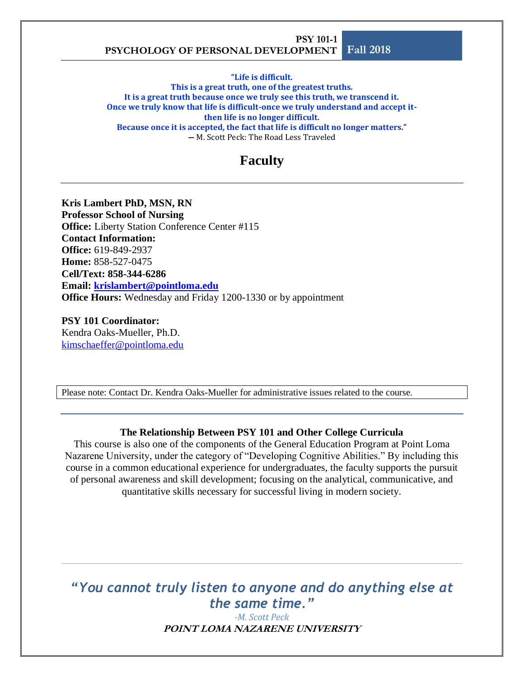**"Life is difficult.** 

**This is a great truth, one of the greatest truths. It is a great truth because once we truly see this truth, we transcend it. Once we truly know that life is difficult-once we truly understand and accept itthen life is no longer difficult. Because once it is accepted, the fact that life is difficult no longer matters." ―** M. Scott Peck: The Road Less Traveled

## **Faculty**

**Kris Lambert PhD, MSN, RN Professor School of Nursing Office:** Liberty Station Conference Center #115 **Contact Information:** 

**Office:** 619-849-2937 **Home:** 858-527-0475 **Cell/Text: 858-344-6286 Email: [krislambert@pointloma.edu](mailto:krislambert@pointloma.edu) Office Hours:** Wednesday and Friday 1200-1330 or by appointment

**PSY 101 Coordinator:** Kendra Oaks-Mueller, Ph.D. [kimschaeffer@pointloma.edu](mailto:kimschaeffer@pointloma.edu)

Please note: Contact Dr. Kendra Oaks-Mueller for administrative issues related to the course.

#### **The Relationship Between PSY 101 and Other College Curricula**

This course is also one of the components of the General Education Program at Point Loma Nazarene University, under the category of "Developing Cognitive Abilities." By including this course in a common educational experience for undergraduates, the faculty supports the pursuit of personal awareness and skill development; focusing on the analytical, communicative, and quantitative skills necessary for successful living in modern society.

*"You cannot truly listen to anyone and do anything else at the same time."*

> **POINT LOMA NAZARENE UNIVERSITY** *-M. Scott Peck*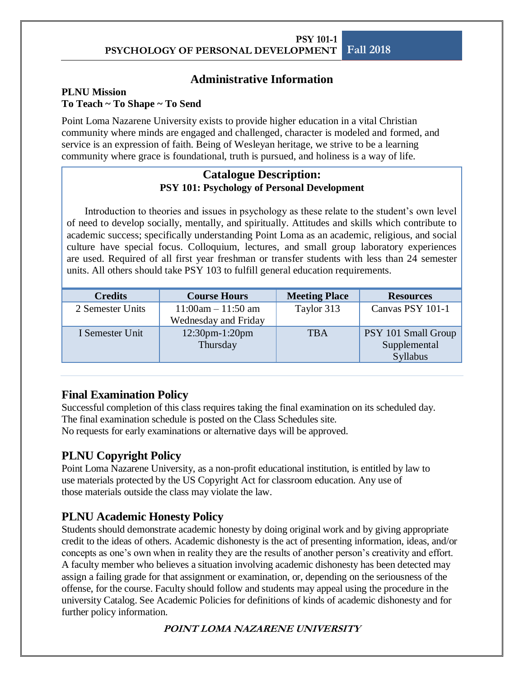### **Administrative Information**

#### **PLNU Mission To Teach ~ To Shape ~ To Send**

Point Loma Nazarene University exists to provide higher education in a vital Christian community where minds are engaged and challenged, character is modeled and formed, and service is an expression of faith. Being of Wesleyan heritage, we strive to be a learning community where grace is foundational, truth is pursued, and holiness is a way of life.

#### **Catalogue Description: PSY 101: Psychology of Personal Development**

Introduction to theories and issues in psychology as these relate to the student's own level of need to develop socially, mentally, and spiritually. Attitudes and skills which contribute to academic success; specifically understanding Point Loma as an academic, religious, and social culture have special focus. Colloquium, lectures, and small group laboratory experiences are used. Required of all first year freshman or transfer students with less than 24 semester units. All others should take PSY 103 to fulfill general education requirements.

| <b>Credits</b>   | <b>Course Hours</b>                             | <b>Meeting Place</b> | <b>Resources</b>                                       |
|------------------|-------------------------------------------------|----------------------|--------------------------------------------------------|
| 2 Semester Units | $11:00$ am $- 11:50$ am<br>Wednesday and Friday | Taylor 313           | Canvas PSY 101-1                                       |
| I Semester Unit  | 12:30pm-1:20pm<br>Thursday                      | <b>TBA</b>           | PSY 101 Small Group<br>Supplemental<br><b>Syllabus</b> |

### **Final Examination Policy**

Successful completion of this class requires taking the final examination on its scheduled day. The final examination schedule is posted on the Class Schedules site. No requests for early examinations or alternative days will be approved.

## **PLNU Copyright Policy**

Point Loma Nazarene University, as a non-profit educational institution, is entitled by law to use materials protected by the US Copyright Act for classroom education. Any use of those materials outside the class may violate the law.

## **PLNU Academic Honesty Policy**

Students should demonstrate academic honesty by doing original work and by giving appropriate credit to the ideas of others. Academic dishonesty is the act of presenting information, ideas, and/or concepts as one's own when in reality they are the results of another person's creativity and effort. A faculty member who believes a situation involving academic dishonesty has been detected may assign a failing grade for that assignment or examination, or, depending on the seriousness of the offense, for the course. Faculty should follow and students may appeal using the procedure in the university Catalog. See Academic Policies for definitions of kinds of academic dishonesty and for further policy information.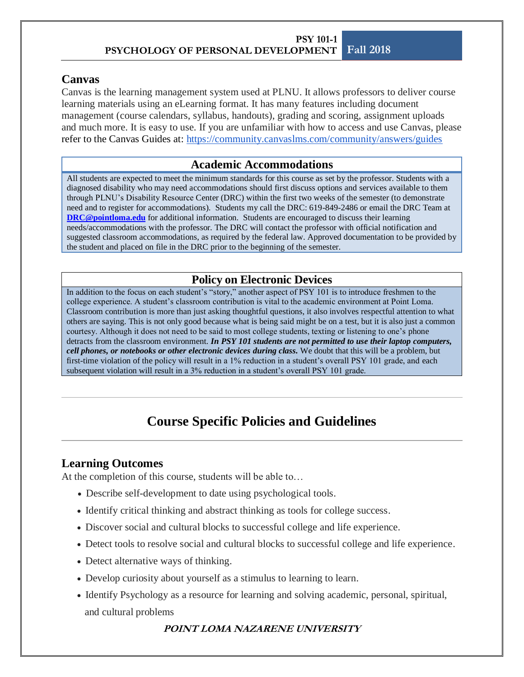### **Canvas**

Canvas is the learning management system used at PLNU. It allows professors to deliver course learning materials using an eLearning format. It has many features including document management (course calendars, syllabus, handouts), grading and scoring, assignment uploads and much more. It is easy to use. If you are unfamiliar with how to access and use Canvas, please refer to the Canvas Guides at: <https://community.canvaslms.com/community/answers/guides>

#### **Academic Accommodations**

All students are expected to meet the minimum standards for this course as set by the professor. Students with a diagnosed disability who may need accommodations should first discuss options and services available to them through PLNU's Disability Resource Center (DRC) within the first two weeks of the semester (to demonstrate need and to register for accommodations). Students my call the DRC: 619-849-2486 or email the DRC Team at **[DRC@pointloma.edu](mailto:DRC@pointloma.edu)** for additional information. Students are encouraged to discuss their learning needs/accommodations with the professor. The DRC will contact the professor with official notification and suggested classroom accommodations, as required by the federal law. Approved documentation to be provided by the student and placed on file in the DRC prior to the beginning of the semester.

### **Policy on Electronic Devices**

In addition to the focus on each student's "story," another aspect of PSY 101 is to introduce freshmen to the college experience. A student's classroom contribution is vital to the academic environment at Point Loma. Classroom contribution is more than just asking thoughtful questions, it also involves respectful attention to what others are saying. This is not only good because what is being said might be on a test, but it is also just a common courtesy. Although it does not need to be said to most college students, texting or listening to one's phone detracts from the classroom environment*. In PSY 101 students are not permitted to use their laptop computers, cell phones, or notebooks or other electronic devices during class.* We doubt that this will be a problem, but first-time violation of the policy will result in a 1% reduction in a student's overall PSY 101 grade, and each subsequent violation will result in a 3% reduction in a student's overall PSY 101 grade.

# **Course Specific Policies and Guidelines**

### **Learning Outcomes**

At the completion of this course, students will be able to…

- Describe self-development to date using psychological tools.
- Identify critical thinking and abstract thinking as tools for college success.
- Discover social and cultural blocks to successful college and life experience.
- Detect tools to resolve social and cultural blocks to successful college and life experience.
- Detect alternative ways of thinking.
- Develop curiosity about yourself as a stimulus to learning to learn.
- Identify Psychology as a resource for learning and solving academic, personal, spiritual, and cultural problems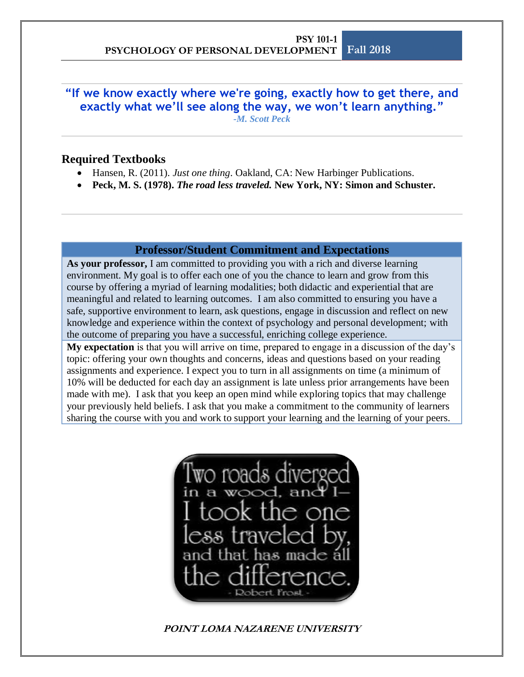**"If we know exactly where we're going, exactly how to get there, and exactly what we'll see along the way, we won't learn anything."** *-M. Scott Peck*

#### **Required Textbooks**

- Hansen, R. (2011). *Just one thing*. Oakland, CA: New Harbinger Publications.
- **Peck, M. S. (1978).** *The road less traveled.* **New York, NY: Simon and Schuster.**

#### **Professor/Student Commitment and Expectations**

**As your professor,** I am committed to providing you with a rich and diverse learning environment. My goal is to offer each one of you the chance to learn and grow from this course by offering a myriad of learning modalities; both didactic and experiential that are meaningful and related to learning outcomes. I am also committed to ensuring you have a safe, supportive environment to learn, ask questions, engage in discussion and reflect on new knowledge and experience within the context of psychology and personal development; with the outcome of preparing you have a successful, enriching college experience.

**My expectation** is that you will arrive on time, prepared to engage in a discussion of the day's topic: offering your own thoughts and concerns, ideas and questions based on your reading assignments and experience. I expect you to turn in all assignments on time (a minimum of 10% will be deducted for each day an assignment is late unless prior arrangements have been made with me). I ask that you keep an open mind while exploring topics that may challenge your previously held beliefs. I ask that you make a commitment to the community of learners sharing the course with you and work to support your learning and the learning of your peers.

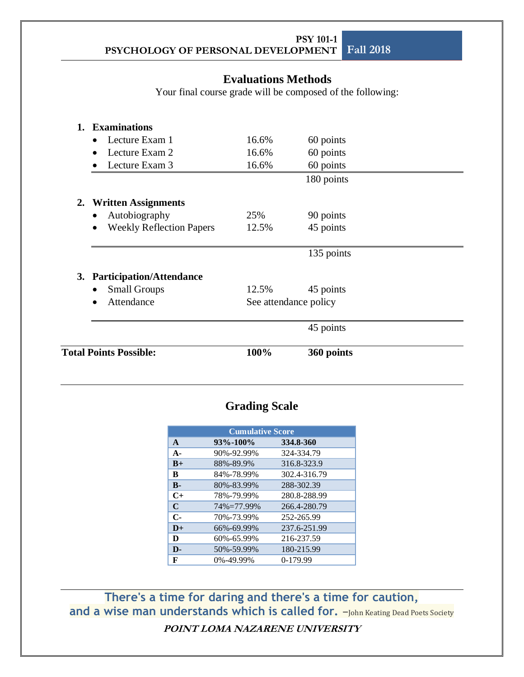## **Evaluations Methods**

Your final course grade will be composed of the following:

| <b>Total Points Possible:</b> |                                                          | 100%  | 360 points            |  |
|-------------------------------|----------------------------------------------------------|-------|-----------------------|--|
|                               |                                                          |       | 45 points             |  |
|                               | Attendance                                               |       | See attendance policy |  |
| 3.                            | <b>Participation/Attendance</b><br><b>Small Groups</b>   | 12.5% | 45 points             |  |
|                               |                                                          |       | 135 points            |  |
|                               | <b>Weekly Reflection Papers</b><br>$\bullet$             | 12.5% | 45 points             |  |
| 2.                            | <b>Written Assignments</b><br>Autobiography<br>$\bullet$ | 25%   | 90 points             |  |
|                               |                                                          |       | 180 points            |  |
|                               | Lecture Exam 3                                           | 16.6% | 60 points             |  |
|                               | Lecture Exam 2                                           | 16.6% | 60 points             |  |
|                               | Lecture Exam 1<br>$\bullet$                              | 16.6% | 60 points             |  |
| 1.                            | <b>Examinations</b>                                      |       |                       |  |

# **Grading Scale**

| <b>Cumulative Score</b> |            |              |  |  |  |  |
|-------------------------|------------|--------------|--|--|--|--|
| $\mathbf{A}$            | 93%-100%   | 334.8-360    |  |  |  |  |
| $\mathbf{A}$            | 90%-92.99% | 324-334.79   |  |  |  |  |
| $B+$                    | 88%-89.9%  | 316.8-323.9  |  |  |  |  |
| B                       | 84%-78.99% | 302.4-316.79 |  |  |  |  |
| $\mathbf{B}$            | 80%-83.99% | 288-302.39   |  |  |  |  |
| $C+$                    | 78%-79.99% | 280.8-288.99 |  |  |  |  |
| C                       | 74%=77.99% | 266.4-280.79 |  |  |  |  |
| $C-$                    | 70%-73.99% | 252-265.99   |  |  |  |  |
| $D+$                    | 66%-69.99% | 237.6-251.99 |  |  |  |  |
| D                       | 60%-65.99% | 216-237.59   |  |  |  |  |
| D-                      | 50%-59.99% | 180-215.99   |  |  |  |  |
| F                       | 0%-49.99%  | $0-179.99$   |  |  |  |  |

**POINT LOMA NAZARENE UNIVERSITY There's a time for daring and there's a time for caution,**  and a wise man understands which is called for. -John Keating Dead Poets Society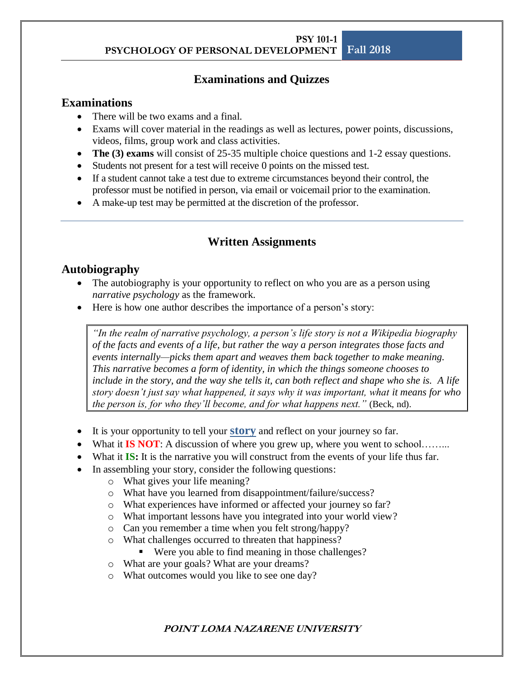## **Examinations and Quizzes**

### **Examinations**

- There will be two exams and a final.
- Exams will cover material in the readings as well as lectures, power points, discussions, videos, films, group work and class activities.
- **The (3) exams** will consist of 25-35 multiple choice questions and 1-2 essay questions.
- Students not present for a test will receive 0 points on the missed test.
- If a student cannot take a test due to extreme circumstances beyond their control, the professor must be notified in person, via email or voicemail prior to the examination.
- A make-up test may be permitted at the discretion of the professor.

## **Written Assignments**

## **Autobiography**

- The autobiography is your opportunity to reflect on who you are as a person using *narrative psychology* as the framework.
- Here is how one author describes the importance of a person's story:

*"In the realm of narrative psychology, a person's life story is not a Wikipedia biography of the facts and events of a life, but rather the way a person integrates those facts and events internally—picks them apart and weaves them back together to make meaning. This narrative becomes a form of identity, in which the things someone chooses to include in the story, and the way she tells it, can both reflect and shape who she is. A life story doesn't just say what happened, it says why it was important, what it means for who the person is, for who they'll become, and for what happens next."* (Beck, nd).

- It is your opportunity to tell your **story** and reflect on your journey so far.
- What it **IS NOT**: A discussion of where you grew up, where you went to school........
- What it **IS:** It is the narrative you will construct from the events of your life thus far.
- In assembling your story, consider the following questions:
	- o What gives your life meaning?
	- o What have you learned from disappointment/failure/success?
	- o What experiences have informed or affected your journey so far?
	- o What important lessons have you integrated into your world view?
	- o Can you remember a time when you felt strong/happy?
	- o What challenges occurred to threaten that happiness?
		- Were you able to find meaning in those challenges?
	- o What are your goals? What are your dreams?
	- o What outcomes would you like to see one day?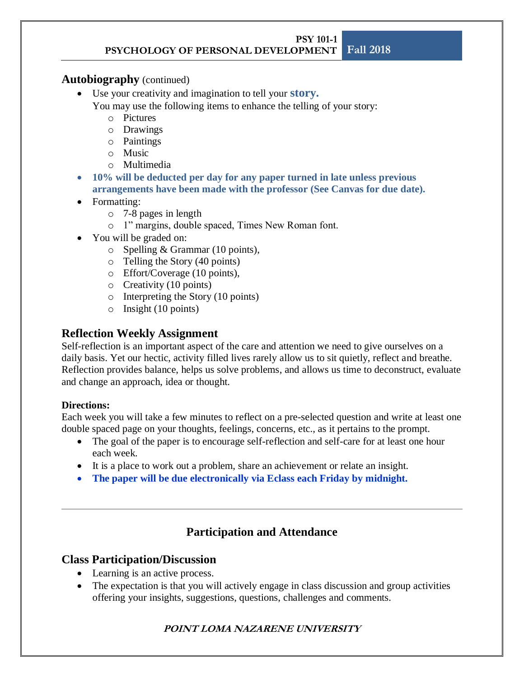### **Autobiography** (continued)

- Use your creativity and imagination to tell your **story.** 
	- You may use the following items to enhance the telling of your story:
		- o Pictures
		- o Drawings
		- o Paintings
		- o Music
		- o Multimedia
- **10% will be deducted per day for any paper turned in late unless previous arrangements have been made with the professor (See Canvas for due date).**
- Formatting:
	- o 7-8 pages in length
	- o 1" margins, double spaced, Times New Roman font.
- You will be graded on:
	- o Spelling & Grammar (10 points),
	- o Telling the Story (40 points)
	- o Effort/Coverage (10 points),
	- o Creativity (10 points)
	- o Interpreting the Story (10 points)
	- o Insight (10 points)

## **Reflection Weekly Assignment**

Self-reflection is an important aspect of the care and attention we need to give ourselves on a daily basis. Yet our hectic, activity filled lives rarely allow us to sit quietly, reflect and breathe. Reflection provides balance, helps us solve problems, and allows us time to deconstruct, evaluate and change an approach, idea or thought.

### **Directions:**

Each week you will take a few minutes to reflect on a pre-selected question and write at least one double spaced page on your thoughts, feelings, concerns, etc., as it pertains to the prompt.

- The goal of the paper is to encourage self-reflection and self-care for at least one hour each week.
- It is a place to work out a problem, share an achievement or relate an insight.
- **The paper will be due electronically via Eclass each Friday by midnight.**

# **Participation and Attendance**

## **Class Participation/Discussion**

- Learning is an active process.
- The expectation is that you will actively engage in class discussion and group activities offering your insights, suggestions, questions, challenges and comments.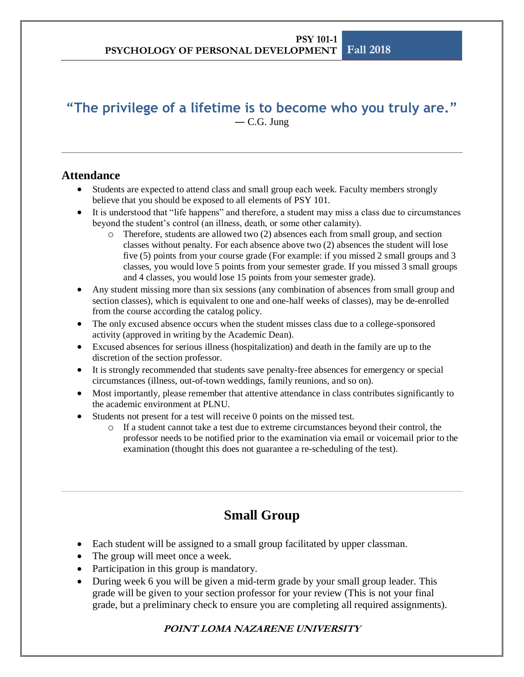## **"The privilege of a lifetime is to become who you truly are."** ― [C.G. Jung](http://www.goodreads.com/author/show/38285.C_G_Jung)

## **Attendance**

- Students are expected to attend class and small group each week. Faculty members strongly believe that you should be exposed to all elements of PSY 101.
- It is understood that "life happens" and therefore, a student may miss a class due to circumstances beyond the student's control (an illness, death, or some other calamity).
	- o Therefore, students are allowed two (2) absences each from small group, and section classes without penalty. For each absence above two (2) absences the student will lose five (5) points from your course grade (For example: if you missed 2 small groups and 3 classes, you would love 5 points from your semester grade. If you missed 3 small groups and 4 classes, you would lose 15 points from your semester grade).
- Any student missing more than six sessions (any combination of absences from small group and section classes), which is equivalent to one and one-half weeks of classes), may be de-enrolled from the course according the catalog policy.
- The only excused absence occurs when the student misses class due to a college-sponsored activity (approved in writing by the Academic Dean).
- Excused absences for serious illness (hospitalization) and death in the family are up to the discretion of the section professor.
- It is strongly recommended that students save penalty-free absences for emergency or special circumstances (illness, out-of-town weddings, family reunions, and so on).
- Most importantly, please remember that attentive attendance in class contributes significantly to the academic environment at PLNU.
- Students not present for a test will receive 0 points on the missed test.
	- o If a student cannot take a test due to extreme circumstances beyond their control, the professor needs to be notified prior to the examination via email or voicemail prior to the examination (thought this does not guarantee a re-scheduling of the test).

# **Small Group**

- Each student will be assigned to a small group facilitated by upper classman.
- The group will meet once a week.
- Participation in this group is mandatory.
- During week 6 you will be given a mid-term grade by your small group leader. This grade will be given to your section professor for your review (This is not your final grade, but a preliminary check to ensure you are completing all required assignments).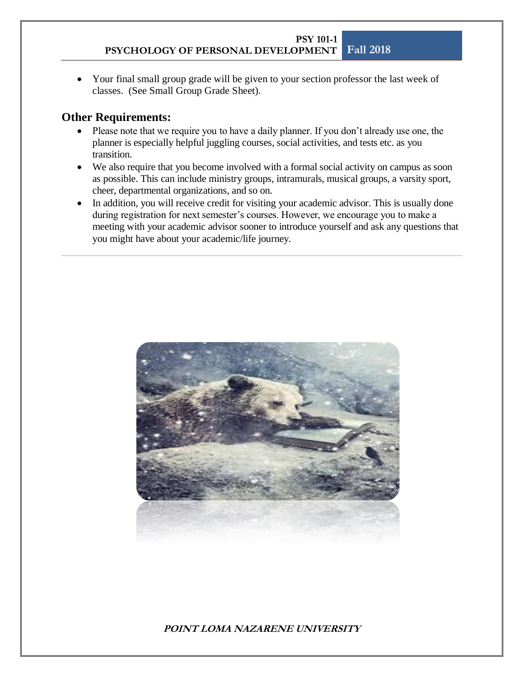• Your final small group grade will be given to your section professor the last week of classes. (See Small Group Grade Sheet).

### **Other Requirements:**

- Please note that we require you to have a daily planner. If you don't already use one, the planner is especially helpful juggling courses, social activities, and tests etc. as you transition.
- We also require that you become involved with a formal social activity on campus as soon as possible. This can include ministry groups, intramurals, musical groups, a varsity sport, cheer, departmental organizations, and so on.
- In addition, you will receive credit for visiting your academic advisor. This is usually done during registration for next semester's courses. However, we encourage you to make a meeting with your academic advisor sooner to introduce yourself and ask any questions that you might have about your academic/life journey.

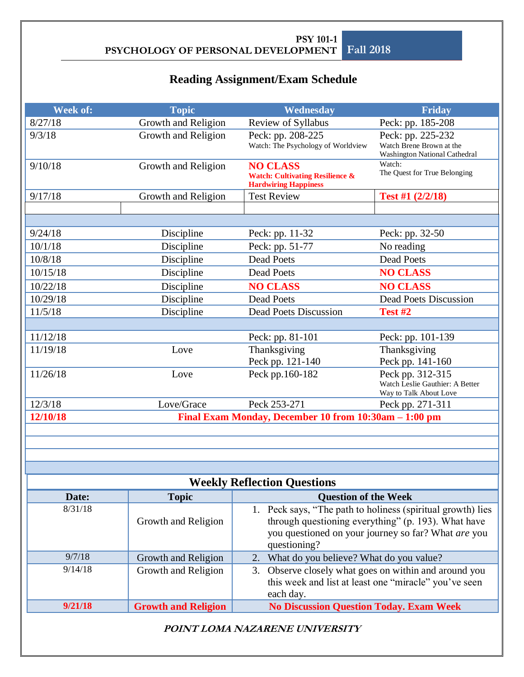# **Reading Assignment/Exam Schedule**

| Week of:<br><b>Topic</b><br>Wednesday<br>Friday                   |                            |                                                                                                                                                                                           |                                                                                |  |  |  |  |  |
|-------------------------------------------------------------------|----------------------------|-------------------------------------------------------------------------------------------------------------------------------------------------------------------------------------------|--------------------------------------------------------------------------------|--|--|--|--|--|
| 8/27/18                                                           | Growth and Religion        | Review of Syllabus                                                                                                                                                                        | Peck: pp. 185-208                                                              |  |  |  |  |  |
| 9/3/18                                                            | Growth and Religion        | Peck: pp. 208-225<br>Watch: The Psychology of Worldview                                                                                                                                   | Peck: pp. 225-232<br>Watch Brene Brown at the<br>Washington National Cathedral |  |  |  |  |  |
| 9/10/18                                                           | Growth and Religion        | <b>NO CLASS</b><br><b>Watch: Cultivating Resilience &amp;</b><br><b>Hardwiring Happiness</b>                                                                                              | Watch:<br>The Quest for True Belonging                                         |  |  |  |  |  |
| 9/17/18                                                           | Growth and Religion        | <b>Test Review</b>                                                                                                                                                                        | Test #1 (2/2/18)                                                               |  |  |  |  |  |
|                                                                   |                            |                                                                                                                                                                                           |                                                                                |  |  |  |  |  |
|                                                                   |                            |                                                                                                                                                                                           |                                                                                |  |  |  |  |  |
| 9/24/18                                                           | Discipline                 | Peck: pp. 11-32                                                                                                                                                                           | Peck: pp. 32-50                                                                |  |  |  |  |  |
| 10/1/18                                                           | Discipline                 | Peck: pp. 51-77                                                                                                                                                                           | No reading                                                                     |  |  |  |  |  |
| 10/8/18                                                           | Discipline                 | <b>Dead Poets</b>                                                                                                                                                                         | <b>Dead Poets</b>                                                              |  |  |  |  |  |
| 10/15/18                                                          | Discipline                 | <b>Dead Poets</b>                                                                                                                                                                         | <b>NO CLASS</b>                                                                |  |  |  |  |  |
| 10/22/18                                                          | Discipline                 | <b>NO CLASS</b>                                                                                                                                                                           | <b>NO CLASS</b>                                                                |  |  |  |  |  |
| 10/29/18                                                          | Discipline                 | Dead Poets                                                                                                                                                                                | <b>Dead Poets Discussion</b>                                                   |  |  |  |  |  |
| 11/5/18                                                           | Discipline                 | <b>Dead Poets Discussion</b>                                                                                                                                                              | Test #2                                                                        |  |  |  |  |  |
|                                                                   |                            |                                                                                                                                                                                           |                                                                                |  |  |  |  |  |
| 11/12/18                                                          |                            | Peck: pp. 81-101                                                                                                                                                                          | Peck: pp. 101-139                                                              |  |  |  |  |  |
| 11/19/18                                                          | Love                       | Thanksgiving                                                                                                                                                                              | Thanksgiving                                                                   |  |  |  |  |  |
|                                                                   |                            | Peck pp. 121-140                                                                                                                                                                          | Peck pp. 141-160                                                               |  |  |  |  |  |
| 11/26/18                                                          | Love                       | Peck pp.160-182                                                                                                                                                                           | Peck pp. 312-315<br>Watch Leslie Gauthier: A Better<br>Way to Talk About Love  |  |  |  |  |  |
| 12/3/18                                                           | Love/Grace                 | Peck 253-271                                                                                                                                                                              | Peck pp. 271-311                                                               |  |  |  |  |  |
| Final Exam Monday, December 10 from 10:30am - 1:00 pm<br>12/10/18 |                            |                                                                                                                                                                                           |                                                                                |  |  |  |  |  |
|                                                                   |                            |                                                                                                                                                                                           |                                                                                |  |  |  |  |  |
|                                                                   |                            |                                                                                                                                                                                           |                                                                                |  |  |  |  |  |
|                                                                   |                            |                                                                                                                                                                                           |                                                                                |  |  |  |  |  |
|                                                                   |                            |                                                                                                                                                                                           |                                                                                |  |  |  |  |  |
|                                                                   |                            | <b>Weekly Reflection Questions</b>                                                                                                                                                        |                                                                                |  |  |  |  |  |
| Date:                                                             | <b>Topic</b>               | <b>Question of the Week</b>                                                                                                                                                               |                                                                                |  |  |  |  |  |
| 8/31/18                                                           | Growth and Religion        | 1. Peck says, "The path to holiness (spiritual growth) lies<br>through questioning everything" (p. 193). What have<br>you questioned on your journey so far? What are you<br>questioning? |                                                                                |  |  |  |  |  |
| 9/7/18                                                            | Growth and Religion        | 2. What do you believe? What do you value?                                                                                                                                                |                                                                                |  |  |  |  |  |
| 9/14/18                                                           | Growth and Religion        | 3. Observe closely what goes on within and around you<br>this week and list at least one "miracle" you've seen<br>each day.                                                               |                                                                                |  |  |  |  |  |
| 9/21/18                                                           | <b>Growth and Religion</b> | <b>No Discussion Question Today. Exam Week</b>                                                                                                                                            |                                                                                |  |  |  |  |  |
| POINT LOMA NAZARENE UNIVERSITY                                    |                            |                                                                                                                                                                                           |                                                                                |  |  |  |  |  |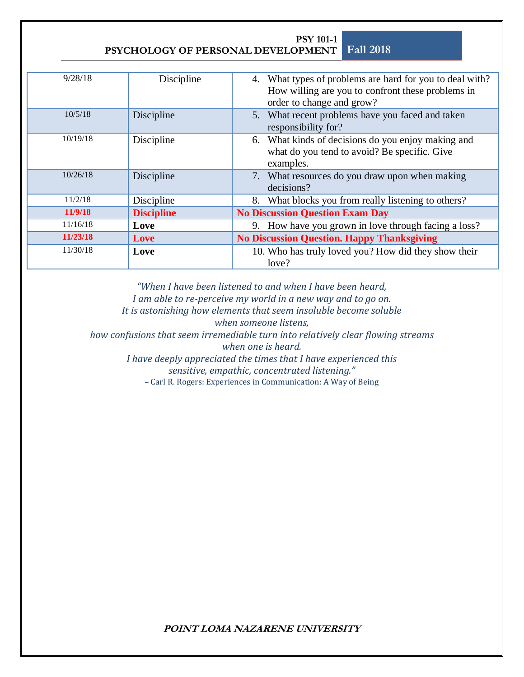**PSYCHOLOGY OF PERSONAL DEVELOPMENT Fall 2018**

**PSY 101-1**

| 9/28/18  | Discipline        | 4. What types of problems are hard for you to deal with?<br>How willing are you to confront these problems in<br>order to change and grow? |
|----------|-------------------|--------------------------------------------------------------------------------------------------------------------------------------------|
| 10/5/18  | Discipline        | 5. What recent problems have you faced and taken                                                                                           |
|          |                   | responsibility for?                                                                                                                        |
| 10/19/18 | Discipline        | 6. What kinds of decisions do you enjoy making and<br>what do you tend to avoid? Be specific. Give<br>examples.                            |
| 10/26/18 | Discipline        | 7. What resources do you draw upon when making<br>decisions?                                                                               |
| 11/2/18  | Discipline        | 8. What blocks you from really listening to others?                                                                                        |
| 11/9/18  | <b>Discipline</b> | <b>No Discussion Question Exam Day</b>                                                                                                     |
| 11/16/18 | Love              | 9. How have you grown in love through facing a loss?                                                                                       |
| 11/23/18 | Love              | <b>No Discussion Question. Happy Thanksgiving</b>                                                                                          |
| 11/30/18 | Love              | 10. Who has truly loved you? How did they show their                                                                                       |
|          |                   | love?                                                                                                                                      |

"When I have been listened to and when I have been heard, *I am able to re-perceive my world in a new way and to go on. It is astonishing how elements that seem insoluble become soluble when someone listens, how confusions that seem irremediable turn into relatively clear flowing streams when one is heard. I have deeply appreciated the times that I have experienced this sensitive, empathic, concentrated listening."*

**–** Carl R. Rogers: Experiences in Communication: A Way of Being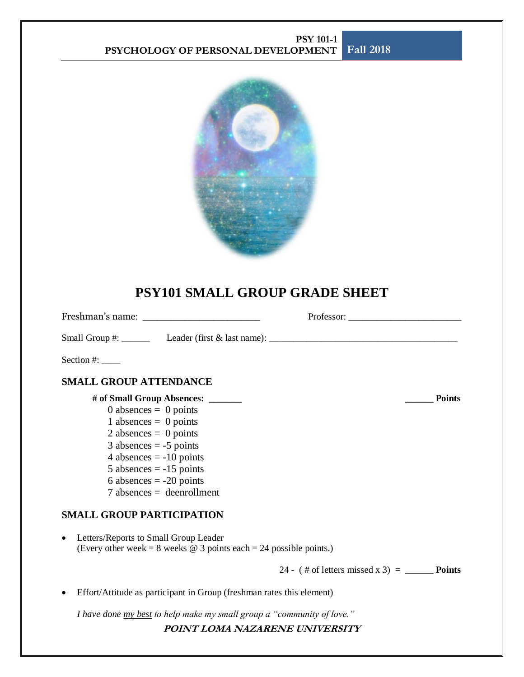

# **PSY101 SMALL GROUP GRADE SHEET**

| Freshman's name:                                                                                                   |                                                     |  |
|--------------------------------------------------------------------------------------------------------------------|-----------------------------------------------------|--|
| Small Group #: $\_\_\_\_\_\_\_\$ Leader (first & last name): $\_\_\_\_\_\_\_\_\_\_\_\_\_\_\_\_\_\_\_\_\_$          |                                                     |  |
| Section #: $\_\_$                                                                                                  |                                                     |  |
| <b>SMALL GROUP ATTENDANCE</b>                                                                                      |                                                     |  |
| # of Small Group Absences: ______                                                                                  | <b>Points</b>                                       |  |
| 0 absences $= 0$ points                                                                                            |                                                     |  |
| 1 absences $= 0$ points                                                                                            |                                                     |  |
| 2 absences $= 0$ points                                                                                            |                                                     |  |
| $3$ absences = -5 points                                                                                           |                                                     |  |
| 4 absences $= -10$ points                                                                                          |                                                     |  |
| $5$ absences = $-15$ points                                                                                        |                                                     |  |
| 6 absences $= -20$ points                                                                                          |                                                     |  |
| $7$ absences = deenrollment                                                                                        |                                                     |  |
| <b>SMALL GROUP PARTICIPATION</b>                                                                                   |                                                     |  |
| Letters/Reports to Small Group Leader<br>(Every other week = 8 weeks $\omega$ 3 points each = 24 possible points.) |                                                     |  |
|                                                                                                                    | 24 - $(\#$ of letters missed x 3) = ________ Points |  |

• Effort/Attitude as participant in Group (freshman rates this element)

*I have done my best to help make my small group a "community of love."*